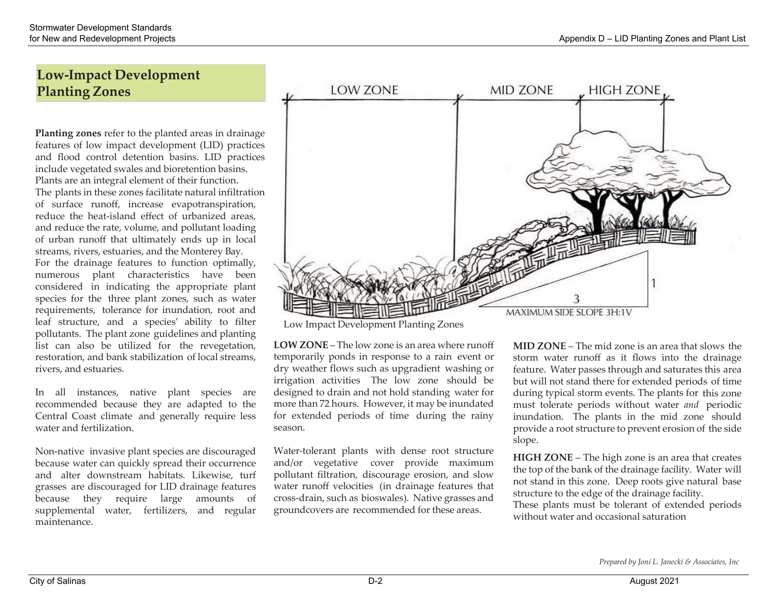# **Low‐Impact Development Planting Zones**

**Planting zones** refer to the planted areas in drainage features of low impact development (LID) practices and flood control detention basins. LID practices include vegetated swales and bioretention basins. Plants are an integral element of their function. The plants in these zones facilitate natural infiltration of surface runoff, increase evapotranspiration, reduce the heat‐island <sup>e</sup>ffect of urbanized areas, and reduce the rate, volume, and pollutant loading of urban runoff that ultimately ends up in local streams, rivers, estuaries, and the Monterey Bay. For the drainage features to function optimally, numerous plant characteristics have been considered in indicating the appropriate plant species for the three plant zones, such as water requirements, tolerance for inundation, root and leaf structure, and <sup>a</sup> species' ability to filter pollutants. The plant zone guidelines and planting list can also be utilized for the revegetation,

In all instances, native plant species are recommended because they are adapted to the Central Coast climate and generally require less water and fertilization.

restoration, and bank stabilization of local streams,

Non‐native invasive plant species are discouraged because water can quickly spread their occurrence and alter downstream habitats. Likewise, turf grasses are discouraged for LID drainage features because they require large amounts of supplemental water, fertilizers, and regular maintenance.



Low Impact Development Planting Zones

**LOW ZONE** – The low zone is an area where runoff temporarily ponds in response to <sup>a</sup> rain event or dry weather flows such as upgradient washing or irrigation activities The low zone should be designed to drain and not hold standing water for more than <sup>72</sup> hours. However, it may be inundated for extended periods of time during the rainy season.

Water‐tolerant plants with dense root structure and/or vegetative cover provide maximum pollutant filtration, discourage erosion, and slow water runoff velocities (in drainage features that cross‐drain, such as bioswales). Native grasses and groundcovers are recommended for these areas.

**MID ZONE** – The mid zone is an area that slows the storm water runoff as it flows into the drainage feature. Water passes through and saturates this area but will not stand there for extended periods of time during typical storm events. The plants for this zone must tolerate periods without water *and* periodic inundation. The plants in the mid zone should provide <sup>a</sup> root structure to preven<sup>t</sup> erosion of the side slope.

**HIGH ZONE** – The high zone is an area that creates the top of the bank of the drainage facility. Water will not stand in this zone. Deep roots give natural base structure to the edge of the drainage facility. These plants must be tolerant of extended periods without water and occasional saturation

*Prepared by Joni L. Janecki & Associates, Inc*

rivers, and estuaries.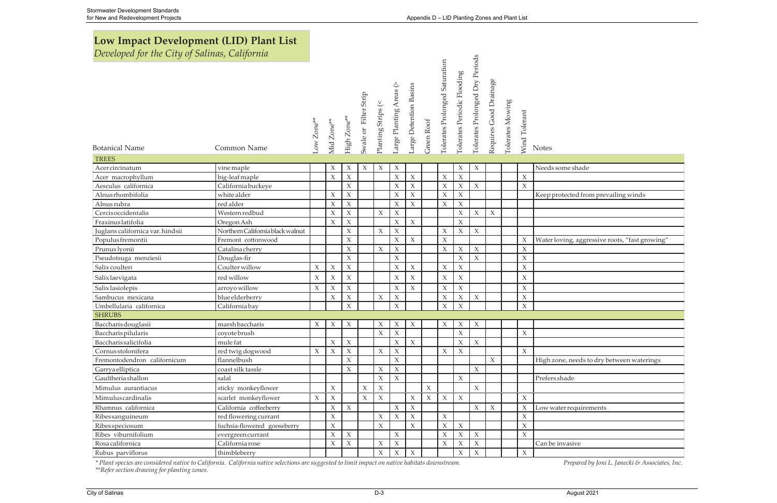# Low Impact Development (LID) Plant List

Developed for the City of Salinas, California

| Developed for the City of Suithus, Catifornia |                                  |                     |                     |                     |                       |                     |                         |                        |             |                                |                             |                                 |                        |                  |                     |              |
|-----------------------------------------------|----------------------------------|---------------------|---------------------|---------------------|-----------------------|---------------------|-------------------------|------------------------|-------------|--------------------------------|-----------------------------|---------------------------------|------------------------|------------------|---------------------|--------------|
| <b>Botanical Name</b><br><b>TREES</b>         | Common Name                      | Low Zone**          | Mid Zone**          | High Zone**         | Swale or Filter Strip | Planting Strips (<  | Large Planting Areas (> | Large Detention Basins | Green Roof  | Tolerates Prolonged Saturation | Tolerates Periodic Flooding | Tolerates Prolonged Dry Periods | Requires Good Drainage | Tolerates Mowing | Wind Tolerant       | <b>Notes</b> |
| Acercircinatum                                | vine maple                       |                     | X                   | $\mathsf X$         | $\chi$                | $\mathsf X$         | $\boldsymbol{\chi}$     |                        |             |                                | $\mathsf X$                 | $\mathsf X$                     |                        |                  |                     | Needs some   |
| Acer macrophyllum                             | big-leaf maple                   |                     | $\chi$              | $\chi$              |                       |                     | $\boldsymbol{\chi}$     | $\chi$                 |             | $\mathsf X$                    | $\boldsymbol{\chi}$         |                                 |                        |                  | $\boldsymbol{\chi}$ |              |
| Aesculus californica                          | California buckeye               |                     |                     | $\mathsf X$         |                       |                     | $\chi$                  | $\chi$                 |             | $\mathsf X$                    | $\mathsf X$                 | $\mathsf X$                     |                        |                  | $\mathsf X$         |              |
| Alnusrhombifolia                              | white alder                      |                     | $\chi$              | $\mathsf X$         |                       |                     | $\boldsymbol{\chi}$     | $\chi$                 |             | $\mathsf X$                    | $\mathsf X$                 |                                 |                        |                  |                     | Keep protect |
| Alnus rubra                                   | red alder                        |                     | $\mathsf X$         | $\chi$              |                       |                     | $\boldsymbol{\chi}$     | $\mathsf X$            |             | $\mathsf X$                    | $\mathsf X$                 |                                 |                        |                  |                     |              |
| Cercisoccidentalis                            | Western redbud                   |                     | X                   | $\boldsymbol{\chi}$ |                       | $\boldsymbol{\chi}$ | $\boldsymbol{\chi}$     |                        |             |                                | $\mathsf X$                 | $\boldsymbol{\chi}$             | $\chi$                 |                  |                     |              |
| Fraxinuslatifolia                             | Oregon Ash                       |                     | X                   | $\boldsymbol{\chi}$ |                       |                     | $\boldsymbol{\chi}$     | $\chi$                 |             |                                | $\mathsf X$                 |                                 |                        |                  |                     |              |
| Juglans californica var. hindsii              | Northern California black walnut |                     |                     | $\mathsf X$         |                       | $\mathsf X$         | $\mathsf X$             |                        |             | $\mathsf X$                    | $\boldsymbol{\chi}$         | $\chi$                          |                        |                  |                     |              |
| Populus fremontii                             | Fremont cottonwood               |                     |                     | $\mathsf X$         |                       |                     | $\mathsf X$             | $\mathsf X$            |             | $\mathsf X$                    |                             |                                 |                        |                  | $\chi$              | Water loving |
| Prunus lyonii                                 | Catalina cherry                  |                     |                     | $\boldsymbol{\chi}$ |                       | $\chi$              | $\boldsymbol{\chi}$     |                        |             | $\chi$                         | $\chi$                      | $\mathsf X$                     |                        |                  | $\boldsymbol{\chi}$ |              |
| Pseudotsuga menziesii                         | Douglas-fir                      |                     |                     | $\mathsf X$         |                       |                     | $\mathsf X$             |                        |             |                                | $\boldsymbol{\chi}$         | $\chi$                          |                        |                  | $\boldsymbol{\chi}$ |              |
| Salix coulteri                                | Coulter willow                   | $\chi$              | $\boldsymbol{\chi}$ | $\boldsymbol{\chi}$ |                       |                     | $\boldsymbol{\chi}$     | $\chi$                 |             | $\mathsf X$                    | $\mathsf X$                 |                                 |                        |                  | $\mathsf X$         |              |
| Salix laevigata                               | red willow                       | $\chi$              | $\boldsymbol{\chi}$ | $\boldsymbol{\chi}$ |                       |                     | $\chi$                  | $\mathsf X$            |             | $\chi$                         | $\mathsf X$                 |                                 |                        |                  | $\boldsymbol{\chi}$ |              |
| Salix lasiolepis                              | arroyo willow                    | $\chi$              | $\boldsymbol{\chi}$ | $\chi$              |                       |                     | $\boldsymbol{\chi}$     | $\chi$                 |             | $\mathsf X$                    | $\mathsf X$                 |                                 |                        |                  | $\mathsf X$         |              |
| Sambucus mexicana                             | blue elderberry                  |                     | $\chi$              | $\boldsymbol{\chi}$ |                       | $\boldsymbol{\chi}$ | $\chi$                  |                        |             | $\boldsymbol{\chi}$            | $\boldsymbol{\chi}$         | $\mathsf X$                     |                        |                  | $\chi$              |              |
| Umbellularia californica                      | California bay                   |                     |                     | $\boldsymbol{\chi}$ |                       |                     | $\mathsf X$             |                        |             | $\chi$                         | $\chi$                      |                                 |                        |                  | $\mathsf X$         |              |
| <b>SHRUBS</b>                                 |                                  |                     |                     |                     |                       |                     |                         |                        |             |                                |                             |                                 |                        |                  |                     |              |
| Baccharisdouglasii                            | marshbaccharis                   | X                   | X                   | $\boldsymbol{\chi}$ |                       | $\boldsymbol{\chi}$ | $\chi$                  | $\boldsymbol{\chi}$    |             | $\chi$                         | $\chi$                      | $\mathsf X$                     |                        |                  |                     |              |
| Baccharis pilularis                           | coyote brush                     |                     |                     |                     |                       | $\chi$              | $\boldsymbol{\chi}$     |                        |             |                                | $\boldsymbol{\chi}$         |                                 |                        |                  | $\boldsymbol{\chi}$ |              |
| Baccharissalicifolia                          | mule fat                         |                     | X                   | $\chi$              |                       |                     | $\boldsymbol{\chi}$     | $\chi$                 |             |                                | $\chi$                      | $\chi$                          |                        |                  |                     |              |
| Cornusstolonifera                             | red twig dogwood                 | $\boldsymbol{\chi}$ | $\boldsymbol{\chi}$ | $\mathsf X$         |                       | $\chi$              | $\mathsf X$             |                        |             | $\chi$                         | $\mathsf X$                 |                                 |                        |                  | X                   |              |
| Fremontodendron californicum                  | flannelbush                      |                     |                     | $\mathsf X$         |                       |                     | $\mathsf X$             |                        |             |                                |                             |                                 | $\chi$                 |                  |                     | High zone, n |
| Garrya elliptica                              | coast silk tassle                |                     |                     | X                   |                       | $\chi$              | $\boldsymbol{\chi}$     |                        |             |                                |                             | $\chi$                          |                        |                  |                     |              |
| Gaultheriashallon                             | salal                            |                     |                     |                     |                       | $\boldsymbol{\chi}$ | $\mathsf X$             |                        |             |                                | $\mathsf X$                 |                                 |                        |                  |                     | Prefers shad |
| Mimulus aurantiacus                           | sticky monkeyflower              |                     | $\chi$              |                     | $\chi$                | $\mathsf X$         |                         |                        | $\mathsf X$ |                                |                             | $\mathsf X$                     |                        |                  |                     |              |
| Mimulus cardinalis                            | scarlet monkeyflower             | X                   | $\chi$              |                     | $\boldsymbol{\chi}$   | $\chi$              |                         | $\chi$                 | $\chi$      | $\mathsf X$                    | $\mathsf X$                 |                                 |                        |                  | $\chi$              |              |
| Rhamnus californica                           | California coffeeberry           |                     | $\mathsf X$         | $\boldsymbol{\chi}$ |                       |                     | $\boldsymbol{\chi}$     | $\mathsf X$            |             |                                |                             | $\mathsf X$                     | $\boldsymbol{\chi}$    |                  | $\chi$              | Low water re |
| Ribessanguineum                               | red flowering currant            |                     | $\boldsymbol{\chi}$ |                     |                       | $\boldsymbol{\chi}$ | $\chi$                  | $\mathsf X$            |             | $\mathsf X$                    |                             |                                 |                        |                  | $\boldsymbol{\chi}$ |              |
| Ribes speciosum                               | fuchsia-flowered gooseberry      |                     | $\boldsymbol{\chi}$ |                     |                       | $\chi$              |                         | $\mathsf X$            |             | $\boldsymbol{\chi}$            | $\mathsf X$                 |                                 |                        |                  | $\boldsymbol{\chi}$ |              |
| Ribes viburnifolium                           | evergreen currant                |                     | $\boldsymbol{\chi}$ | $\chi$              |                       |                     | $\mathsf X$             |                        |             | $\chi$                         | $\boldsymbol{\chi}$         | $\mathsf X$                     |                        |                  | $\chi$              |              |
| Rosa californica                              | California rose                  |                     | $\boldsymbol{\chi}$ | $\boldsymbol{\chi}$ |                       | $\boldsymbol{\chi}$ | $\chi$                  |                        |             | $\boldsymbol{\chi}$            | X                           | $\chi$                          |                        |                  |                     | Can be invas |
| Rubus parviflorus                             | thimbleberry                     |                     |                     |                     |                       | $\boldsymbol{\chi}$ | $\boldsymbol{\chi}$     | $\mathsf X$            |             |                                | $\mathsf X$                 | $\mathsf X$                     |                        |                  | $\chi$              |              |

\* Plant species are considered native to California. California native selections are suggested to limit impact on native habitats downstream. \*\*Refer section drawing for planting zones.

| ۰.<br>×<br>×<br>× |
|-------------------|
|-------------------|

ted from prevailing winds

, aggressive roots, "fast growing"

needs to dry between waterings

equirements

<u>sive</u>

Prepared by Joni L. Janecki & Associates, Inc.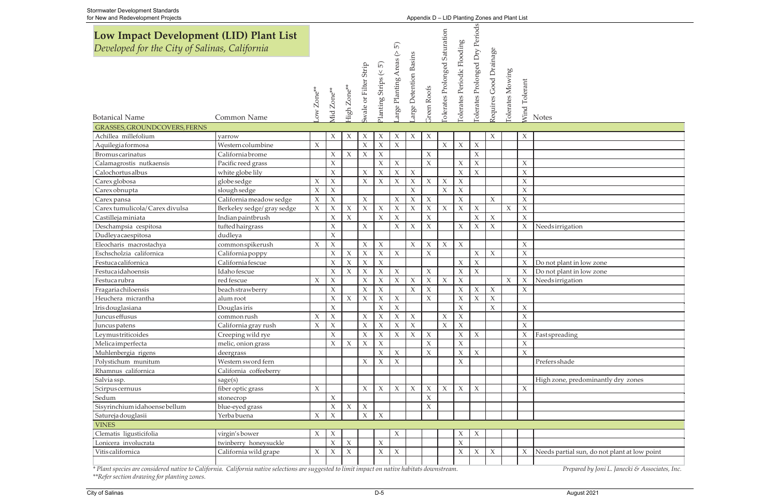| ior now and noudvelopment rigged                                                         |                            |                       |                     |                           |                           |                         |                           |                           |                     |                               | $\mu$ position. $\mu$ Eq. Fig. conception of the set |                                |                        |                         |                           |                 |
|------------------------------------------------------------------------------------------|----------------------------|-----------------------|---------------------|---------------------------|---------------------------|-------------------------|---------------------------|---------------------------|---------------------|-------------------------------|------------------------------------------------------|--------------------------------|------------------------|-------------------------|---------------------------|-----------------|
| Low Impact Development (LID) Plant List<br>Developed for the City of Salinas, California |                            |                       |                     |                           |                           |                         | $\overline{5}$            |                           |                     |                               |                                                      |                                |                        |                         |                           |                 |
| <b>Botanical Name</b>                                                                    | Common Name                | ow Zone <sup>**</sup> | Aid Zone**          | <sup>tigh Zone**</sup>    | swale or Filter Strip     | Planting Strings (< 5') | arge Planting Areas ( $>$ | arge Detention Basins     | Green Roofs         | Olerates Prolonged Saturation | Olerates Periodic Flooding                           | Olerates Prolonged Dry Periods | Requires Good Drainage | <b>Tolerates Mowing</b> | Vind Tolerant             | <b>Notes</b>    |
| <b>GRASSES, GROUNDCOVERS, FERNS</b>                                                      |                            |                       |                     |                           |                           |                         |                           |                           |                     |                               |                                                      |                                |                        |                         |                           |                 |
| Achillea millefolium                                                                     | yarrow                     |                       | X                   | $\chi$                    | $\boldsymbol{\mathsf{X}}$ | $\boldsymbol{\chi}$     | $\boldsymbol{\chi}$       | $\chi$                    | $\chi$              |                               |                                                      |                                | $\chi$                 |                         | $\boldsymbol{\chi}$       |                 |
| Aquilegia formosa                                                                        | Western columbine          | $\chi$                |                     |                           | $\chi$                    | $\boldsymbol{\chi}$     | $\mathsf X$               |                           |                     | $\mathsf X$                   | $\mathsf X$                                          | $\mathsf X$                    |                        |                         |                           |                 |
| Bromus carinatus                                                                         | California brome           |                       | $\mathsf X$         | $\boldsymbol{\chi}$       | $\mathsf X$               | $\mathsf X$             |                           |                           | $\chi$              |                               |                                                      | $\mathsf X$                    |                        |                         |                           |                 |
| Calamagrostis nutkaensis                                                                 | Pacific reed grass         |                       | $\mathsf X$         |                           |                           | $\chi$                  | $\mathsf X$               |                           | $\boldsymbol{\chi}$ |                               | $\mathsf X$                                          | $\mathsf X$                    |                        |                         | $\chi$                    |                 |
| Calochortus albus                                                                        | white globe lily           |                       | $\mathsf X$         |                           | $\mathsf X$               | $\chi$                  | $\chi$                    | $\chi$                    |                     |                               | $\boldsymbol{\chi}$                                  | $\boldsymbol{\chi}$            |                        |                         | $\chi$                    |                 |
| Carex globosa                                                                            | globe sedge                | X                     | $\mathsf X$         |                           | $\mathsf X$               | $\boldsymbol{\chi}$     | $\chi$                    | $\boldsymbol{\mathsf{X}}$ | $\boldsymbol{\chi}$ | $\boldsymbol{\mathsf{X}}$     | $\boldsymbol{\chi}$                                  |                                |                        |                         | $\chi$                    |                 |
| Carex obnupta                                                                            | slough sedge               | $\boldsymbol{\chi}$   | $\mathsf X$         |                           |                           |                         |                           | $\chi$                    |                     | $\chi$                        | $\chi$                                               |                                |                        |                         | $\chi$                    |                 |
| Carex pansa                                                                              | California meadow sedge    | $\chi$                | $\mathsf X$         |                           | $\chi$                    |                         | $\boldsymbol{\chi}$       | $\chi$                    | $\chi$              |                               | $\boldsymbol{\chi}$                                  |                                | $\mathsf X$            |                         | $\boldsymbol{\chi}$       |                 |
| Carex tumulicola/ Carex divulsa                                                          | Berkeley sedge/ gray sedge | $\mathsf X$           | $\boldsymbol{\chi}$ | $\boldsymbol{\chi}$       | $\mathsf X$               | $\boldsymbol{\chi}$     | $\chi$                    | $\chi$                    | $\boldsymbol{\chi}$ | $\mathsf X$                   | $\boldsymbol{\chi}$                                  | $\mathsf X$                    |                        | $\mathsf X$             | $\chi$                    |                 |
| Castillejaminiata                                                                        | Indianpaintbrush           |                       | $\boldsymbol{\chi}$ | $\chi$                    |                           | $\chi$                  | $\mathsf X$               |                           | $\chi$              |                               |                                                      | $\chi$                         | $\mathsf X$            |                         | $\chi$                    |                 |
| Deschampsia cespitosa                                                                    | tufted hairgrass           |                       | $\mathsf X$         |                           | $\chi$                    |                         | $\chi$                    | $\boldsymbol{\chi}$       | $\chi$              |                               | $\boldsymbol{\chi}$                                  | $\chi$                         | $\chi$                 |                         | $\chi$                    | Needsirrigation |
| Dudleyacaespitosa                                                                        | dudleya                    |                       | $\boldsymbol{\chi}$ |                           |                           |                         |                           |                           |                     |                               |                                                      |                                |                        |                         |                           |                 |
| Eleocharis macrostachya                                                                  | commonspikerush            | $\chi$                | $\boldsymbol{\chi}$ |                           | $\mathsf X$               | $\chi$                  |                           | $\chi$                    | X                   | $\mathsf X$                   | $\boldsymbol{\chi}$                                  |                                |                        |                         | $\chi$                    |                 |
| Eschscholzia californica                                                                 | California poppy           |                       | $\mathsf X$         | $\boldsymbol{\chi}$       | $\mathsf X$               | $\mathsf X$             | $\mathsf X$               |                           | $\chi$              |                               |                                                      | $\mathsf X$                    | $\mathsf X$            |                         | $\chi$                    |                 |
| Festuca californica                                                                      | California fescue          |                       | $\mathsf X$         | $\boldsymbol{\mathsf{X}}$ | $\mathsf X$               | $\mathsf X$             |                           |                           |                     |                               | $\boldsymbol{\chi}$                                  | $\mathsf X$                    |                        |                         | $\chi$                    | Do not plant in |
| Festucaidahoensis                                                                        | Idaho fescue               |                       | $\chi$              | $\boldsymbol{\chi}$       | $\boldsymbol{\chi}$       | $\boldsymbol{\chi}$     | $\boldsymbol{\chi}$       |                           | X                   |                               | $\boldsymbol{\chi}$                                  | $\chi$                         |                        |                         | $\chi$                    | Do not plant in |
| <b>Festuca rubra</b>                                                                     | red fescue                 | $\chi$                | $\mathsf X$         |                           | $\mathsf X$               | $\mathsf X$             | $\chi$                    | $\chi$                    | $\boldsymbol{\chi}$ | $\mathsf X$                   | $\boldsymbol{\chi}$                                  |                                |                        | $\mathsf X$             | $\boldsymbol{\chi}$       | Needsirrigation |
| Fragaria chiloensis                                                                      | beachstrawberry            |                       | $\mathsf X$         |                           | $\mathsf X$               | $\chi$                  |                           | $\chi$                    | $\chi$              |                               | $\mathsf X$                                          | $\mathsf X$                    | $\chi$                 |                         | $\chi$                    |                 |
| Heuchera micrantha                                                                       | alum root                  |                       | $\mathsf X$         | $\boldsymbol{\chi}$       | $\chi$                    | $\mathsf X$             | $\chi$                    |                           | X                   |                               | $\boldsymbol{\chi}$                                  | $\mathsf X$                    | $\boldsymbol{\chi}$    |                         |                           |                 |
| Iris douglasiana                                                                         | Douglas iris               |                       | $\mathsf X$         |                           |                           | $\mathsf X$             | $\mathsf X$               |                           |                     |                               | $\boldsymbol{\chi}$                                  |                                | $\chi$                 |                         | $\boldsymbol{\chi}$       |                 |
| Juncus effusus                                                                           | common rush                | $\chi$                | $\mathsf X$         |                           | $\chi$                    | $\chi$                  | $\chi$                    | $\chi$                    |                     | $\boldsymbol{\mathsf{X}}$     | $\mathsf X$                                          |                                |                        |                         | $\chi$                    |                 |
| Juncus patens                                                                            | California gray rush       | $\chi$                | $\mathsf X$         |                           | $\mathsf X$               | $\boldsymbol{\chi}$     | $\chi$                    | $\chi$                    |                     | $\mathsf X$                   | $\chi$                                               |                                |                        |                         | $\boldsymbol{\chi}$       |                 |
| Leymustriticoides                                                                        | Creeping wild rye          |                       | $\boldsymbol{\chi}$ |                           | $\boldsymbol{\chi}$       | $\boldsymbol{\chi}$     | $\boldsymbol{\chi}$       | $\chi$                    | $\boldsymbol{\chi}$ |                               | $\boldsymbol{\chi}$                                  | $\boldsymbol{\chi}$            |                        |                         | $\boldsymbol{\mathsf{X}}$ | Fast spreading  |
| Melicaimperfecta                                                                         | melic, onion grass         |                       | $\boldsymbol{\chi}$ | $\boldsymbol{\chi}$       | $\mathsf X$               | $\chi$                  |                           |                           | X                   |                               | $\mathsf X$                                          |                                |                        |                         | $\chi$                    |                 |
| Muhlenbergia rigens                                                                      | deergrass                  |                       |                     |                           |                           | $\boldsymbol{\chi}$     | $\mathsf X$               |                           | $\chi$              |                               | $\boldsymbol{\chi}$                                  | $\chi$                         |                        |                         | $\chi$                    |                 |
| Polystichum munitum                                                                      | Western sword fern         |                       |                     |                           | $\mathsf X$               | $\boldsymbol{\chi}$     | $\mathsf X$               |                           |                     |                               | $\boldsymbol{\chi}$                                  |                                |                        |                         |                           | Prefers shade   |
| Rhamnus californica                                                                      | California coffeeberry     |                       |                     |                           |                           |                         |                           |                           |                     |                               |                                                      |                                |                        |                         |                           |                 |
| Salvia ssp.                                                                              | sage(s)                    |                       |                     |                           |                           |                         |                           |                           |                     |                               |                                                      |                                |                        |                         |                           | High zone, pre  |
| Scirpus cernuus                                                                          | fiber optic grass          | $\boldsymbol{\chi}$   |                     |                           | $\chi$                    | $\boldsymbol{\chi}$     | $\chi$                    | $\boldsymbol{\chi}$       | X                   | $\chi$                        | $\chi$                                               | $\boldsymbol{\chi}$            |                        |                         | $\chi$                    |                 |
| Sedum                                                                                    | stonecrop                  |                       | $\mathsf X$         |                           |                           |                         |                           |                           | $\chi$              |                               |                                                      |                                |                        |                         |                           |                 |
| Sisyrinchium idahoense bellum                                                            | blue-eyed grass            |                       | $\chi$              | $\mathsf X$               | $\mathsf X$               |                         |                           |                           | $\chi$              |                               |                                                      |                                |                        |                         |                           |                 |
| Satureja douglasii                                                                       | Yerba buena                | X                     | $\mathsf X$         |                           | $\chi$                    | $\boldsymbol{\chi}$     |                           |                           |                     |                               |                                                      |                                |                        |                         |                           |                 |
| <b>VINES</b>                                                                             |                            |                       |                     |                           |                           |                         |                           |                           |                     |                               |                                                      |                                |                        |                         |                           |                 |
| Clematis ligusticifolia                                                                  | virgin's bower             | $\chi$                | $\chi$              |                           |                           |                         | X                         |                           |                     |                               | X                                                    | $\boldsymbol{\chi}$            |                        |                         |                           |                 |
| Lonicera involucrata                                                                     | twinberry honeysuckle      |                       | $\chi$              | $\boldsymbol{\chi}$       |                           | $\boldsymbol{\chi}$     |                           |                           |                     |                               | $\boldsymbol{\chi}$                                  |                                |                        |                         |                           |                 |
| Vitis californica                                                                        | California wild grape      | $\chi$                | $\mathsf X$         | $\chi$                    |                           | $\boldsymbol{\chi}$     | $\mathsf X$               |                           |                     |                               | $\mathsf X$                                          | $\mathsf X$                    | $\mathsf X$            |                         | $\chi$                    | Needs partial s |
|                                                                                          |                            |                       |                     |                           |                           |                         |                           |                           |                     |                               |                                                      |                                |                        |                         |                           |                 |

<sup>\*</sup> Plant species are considered native to California. California native selections are suggested to limit impact on native habitats downstream.<br>\*\*Refer section drawing for planting zones.

Prepared by Joni L. Janecki & Associates, Inc.

| tion                              |
|-----------------------------------|
|                                   |
|                                   |
|                                   |
| in low zone                       |
| $\frac{1}{2}$ in low zone         |
| tion                              |
|                                   |
|                                   |
|                                   |
|                                   |
|                                   |
| ng                                |
|                                   |
|                                   |
|                                   |
| $\frac{e}{\sqrt{2}}$              |
| predominantly dry zones           |
|                                   |
|                                   |
|                                   |
|                                   |
|                                   |
|                                   |
|                                   |
|                                   |
| al sun, do not plant at low point |
|                                   |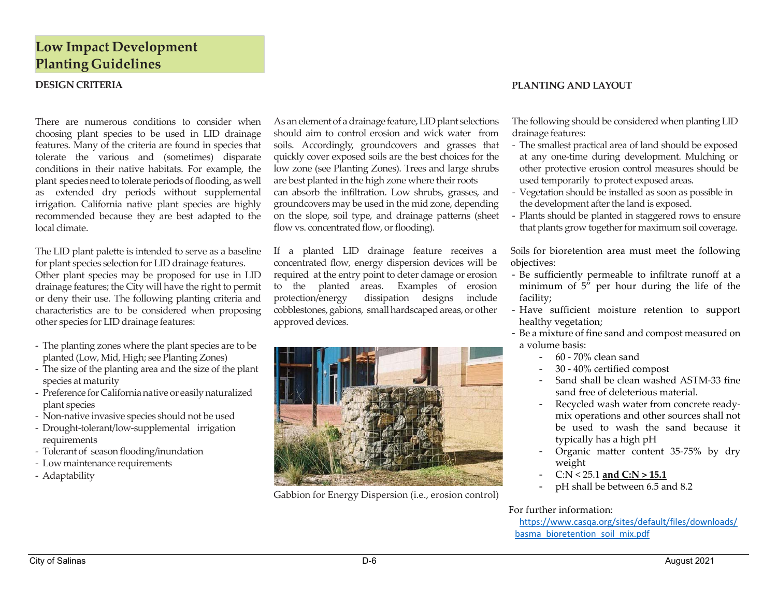## **Low Impact Development Planting Guidelines**

#### **DESIGN**

There are numerous conditions to consider whenchoosing plant species to be used in LID drainage features. Many of the criteria are found in species that tolerate the various and (sometimes) disparate conditions in their native habitats. For example, the plant species need to tolerate periods of flooding, as well as extended dry periods without supplemental irrigation. California native plant species are highly recommended because they are best adapted to the local climate.

The LID plant palette is intended to serve as <sup>a</sup> baseline for plant species selection for LID drainage features. Other plant species may be proposed for use in LID drainage features; the City will have the right to permit or deny their use. The following planting criteria and characteristics are to be considered when proposing other species for LID drainage features:

- ‐ The planting zones where the plant species are to be planted (Low, Mid, High; see Planting Zones)
- ‐ The size of the planting area and the size of the plant species at maturity
- ‐ Preference for Californianative or easilynaturalized plant species
- ‐ Non‐native invasive species should not be used
- ‐ Drought‐tolerant/low‐supplemental irrigation requirements
- ‐ Tolerant of season flooding/inundation
- ‐ Low maintenance requirements
- ‐ Adaptability

As an element of a drainage feature, LID plant selections should aim to control erosion and wick water from soils. Accordingly, groundcovers and grasses that quickly cover exposed soils are the best choices for the low zone (see Planting Zones). Trees and large shrubs are best planted in the high zone where their roots can absorb the infiltration. Low shrubs, grasses, and groundcovers may be used in the mid zone, depending on the slope, soil type, and drainage patterns (sheet flow vs. concentrated flow, or flooding).

If a planted LID drainage feature receives <sup>a</sup> concentrated flow, energy dispersion devices will be required at the entry point to deter damage or erosion to the planted areas. Examples of erosion protection/energy dissipation designs include cobblestones, gabions, small hardscaped areas, or other approved devices.



Gabbion for Energy Dispersion (i.e., erosion control)

#### **CRITERIA PLANTING AND LAYOUT**

The following should be considered when planting LID drainage features:

- The smallest practical area of land should be exposed at any one‐time during development. Mulching or other protective erosion control measures should be used temporarily to protect exposed areas.
- Vegetation should be installed as soon as possible in the development after the land is exposed.
- ‐ Plants should be planted in staggered rows to ensure that plants grow together for maximum soil coverage.

Soils for bioretention area must meet the following objectives:

- Be sufficiently permeable to infiltrate runoff at <sup>a</sup> minimum of 5" per hour during the life of the facility;
- Have sufficient moisture retention to suppor<sup>t</sup> healthy vegetation;
- Be <sup>a</sup> mixture of fine sand and compos<sup>t</sup> measured on a volume basis:
	- -60 ‐ 70% clean sand
	- -30 ‐ 40% certified compos<sup>t</sup>
	- - Sand shall be clean washed ASTM‐33 fine sand free of deleterious material.
	- - Recycled wash water from concrete ready‐ mix operations and other sources shall not be used to wash the sand because it typically has <sup>a</sup> high p<sup>H</sup>
	- - Organic matter content 35‐75% by dry weight
	- -C:N <sup>&</sup>lt; 25.1 **and C:N <sup>&</sup>gt; 15.1**
	- p<sup>H</sup> shall be between 6.5 and 8.2

For further information:

https://www.casqa.org/sites/default/files/downloads/ basma\_bioretention\_soil\_mix.pdf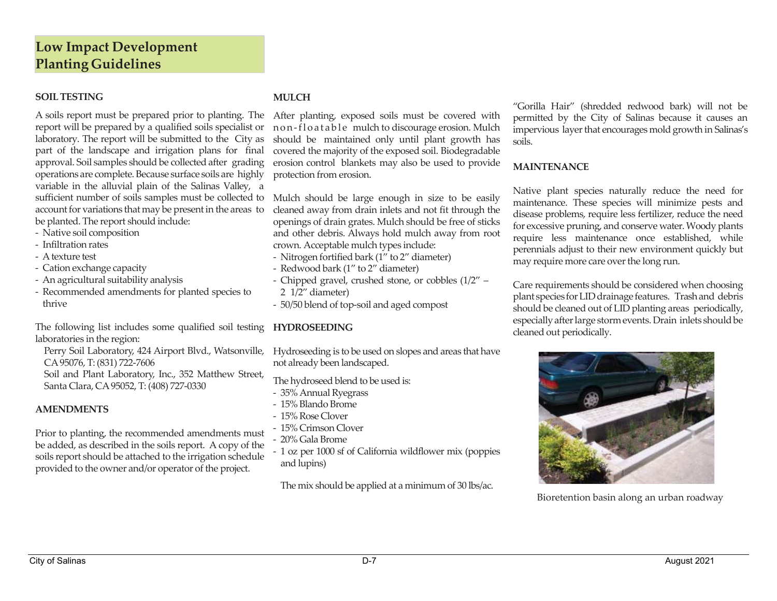### **SOILTESTING**

A soils repor<sup>t</sup> must be prepared prior to planting. The After planting, exposed soils must be covered with repor<sup>t</sup> will be prepared by <sup>a</sup> qualified soils specialist or non‐floatable mulch to discourage erosion. Mulch laboratory. The repor<sup>t</sup> will be submitted to the City as par<sup>t</sup> of the landscape and irrigation plans for final approval. Soil samples should be collected after grading operations are complete. Because surface soils are highly variable in the alluvial plain of the Salinas Valley, <sup>a</sup> sufficient number of soils samples must be collected to Mulch should be large enough in size to be easily account for variations that may be present in the areas to be planted. The repor<sup>t</sup> should include:

- ‐ Native soil composition
- ‐ Infiltration rates
- ‐ Atexture test
- ‐ Cation exchange capacity
- ‐ An agricultural suitability analysis
- ‐ Recommended amendments for planted species to thrive

The following list includes some qualified soil testing **HYDROSEEDING** laboratories in the region:

CA95076, T:(831) 722‐7606

Soil and Plant Laboratory, Inc., 352 Matthew Street,

Santa Clara, CA95052, T:(408) 727‐0330

#### **AMENDMENTS**

Prior to planting, the recommended amendments must be added, as described in the soils report. A copy of the soils repor<sup>t</sup> should be attached to the irrigation schedule provided to the owner and/or operator of the project.

#### **MULCH**

should be maintained only until plant growth has covered the majority of the exposed soil. Biodegradable erosion control blankets may also be used to provide protection from erosion.

cleaned away from drain inlets and not fit through the openings of drain grates. Mulch should be free of sticks and other debris. Always hold mulch away from root crown. Acceptable mulch types include:

- ‐ Nitrogen fortified bark (1" to 2" diameter)
- ‐ Redwood bark (1" to 2" diameter)
- ‐ Chipped gravel, crushed stone, or cobbles (1/2" –
- 2 1/2" diameter)
- ‐ 50/50 blend of top‐soil and aged compos<sup>t</sup>

Perry Soil Laboratory, <sup>424</sup> Airport Blvd., Watsonville, Hydroseeding is to be used on slopes and areas that have not already been landscaped.

The hydroseed blend to be used is:

- ‐ 35% Annual Ryegrass
- ‐ 15% Blando Brome
- ‐ 15% Rose Clover
- ‐ 15% Crimson Clover
- ‐ 20% Gala Brome
- ‐ 1 oz per 1000 sf of California wildflower mix (poppies and lupins)

The mix should be applied at <sup>a</sup> minimum of 30 lbs/ac.

"Gorilla Hair" (shredded redwood bark) will not be permitted by the City of Salinas because it causes an impervious layer that encourages mold growth in Salinas's soils.

#### **MAINTENANCE**

Native plant species naturally reduce the need for maintenance. These species will minimize pests and disease problems, require less fertilizer, reduce the need for excessive pruning, and conserve water.Woody plants require less maintenance once established, while perennials adjust to their new environment quickly but may require more care over the long run.

Care requirements should be considered when choosing plant species for LID drainage features. Trash and debris should be cleaned out of LID planting areas periodically, especially after large storm events. Drain inlets should be cleaned out periodically.



Bioretention basin along an urban roadway